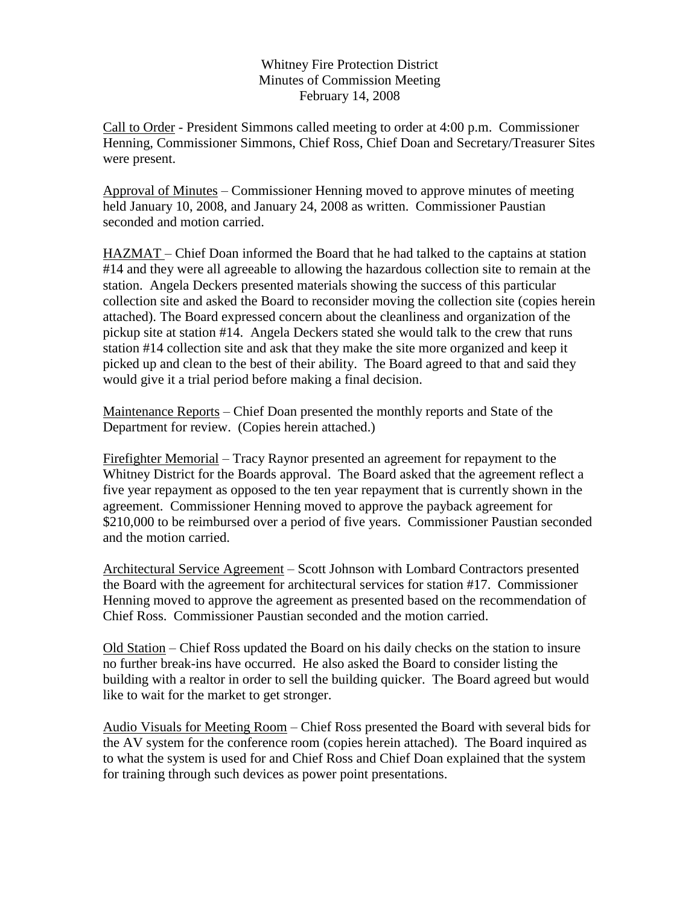Whitney Fire Protection District Minutes of Commission Meeting February 14, 2008

Call to Order - President Simmons called meeting to order at 4:00 p.m. Commissioner Henning, Commissioner Simmons, Chief Ross, Chief Doan and Secretary/Treasurer Sites were present.

Approval of Minutes – Commissioner Henning moved to approve minutes of meeting held January 10, 2008, and January 24, 2008 as written. Commissioner Paustian seconded and motion carried.

HAZMAT – Chief Doan informed the Board that he had talked to the captains at station #14 and they were all agreeable to allowing the hazardous collection site to remain at the station. Angela Deckers presented materials showing the success of this particular collection site and asked the Board to reconsider moving the collection site (copies herein attached). The Board expressed concern about the cleanliness and organization of the pickup site at station #14. Angela Deckers stated she would talk to the crew that runs station #14 collection site and ask that they make the site more organized and keep it picked up and clean to the best of their ability. The Board agreed to that and said they would give it a trial period before making a final decision.

Maintenance Reports – Chief Doan presented the monthly reports and State of the Department for review. (Copies herein attached.)

Firefighter Memorial – Tracy Raynor presented an agreement for repayment to the Whitney District for the Boards approval. The Board asked that the agreement reflect a five year repayment as opposed to the ten year repayment that is currently shown in the agreement. Commissioner Henning moved to approve the payback agreement for \$210,000 to be reimbursed over a period of five years. Commissioner Paustian seconded and the motion carried.

Architectural Service Agreement – Scott Johnson with Lombard Contractors presented the Board with the agreement for architectural services for station #17. Commissioner Henning moved to approve the agreement as presented based on the recommendation of Chief Ross. Commissioner Paustian seconded and the motion carried.

Old Station – Chief Ross updated the Board on his daily checks on the station to insure no further break-ins have occurred. He also asked the Board to consider listing the building with a realtor in order to sell the building quicker. The Board agreed but would like to wait for the market to get stronger.

Audio Visuals for Meeting Room – Chief Ross presented the Board with several bids for the AV system for the conference room (copies herein attached). The Board inquired as to what the system is used for and Chief Ross and Chief Doan explained that the system for training through such devices as power point presentations.